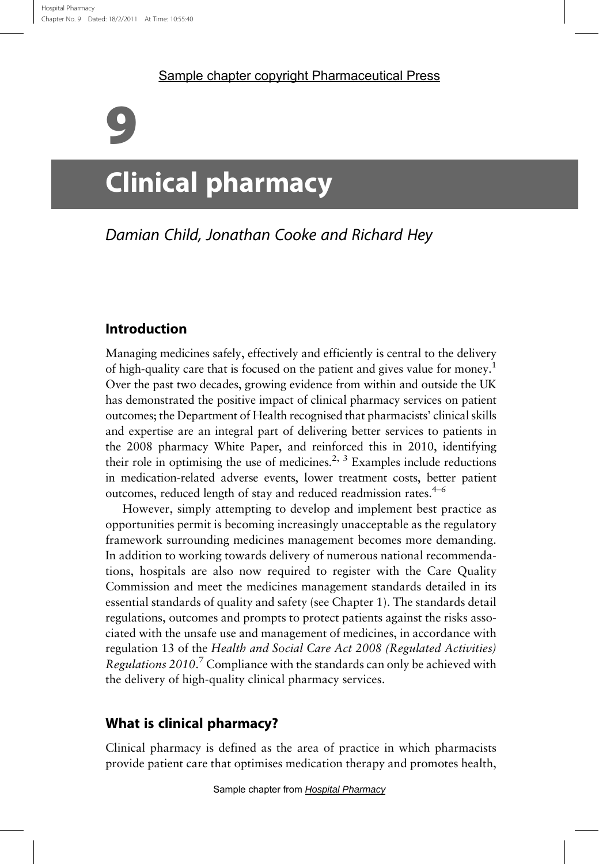# *9*

# Clinical pharmacy

# Damian Child, Jonathan Cooke and Richard Hey

#### Introduction

Managing medicines safely, effectively and efficiently is central to the delivery of high-quality care that is focused on the patient and gives value for money.<sup>[1](#page-19-0)</sup> Over the past two decades, growing evidence from within and outside the UK has demonstrated the positive impact of clinical pharmacy services on patient outcomes; the Department of Health recognised that pharmacists' clinical skills and expertise are an integral part of delivering better services to patients in the 2008 pharmacy White Paper, and reinforced this in 2010, identifying their role in optimising the use of medicines.<sup>2, 3</sup> Examples include reductions in medication-related adverse events, lower treatment costs, better patient outcomes, reduced length of stay and reduced readmission rates. $4-6$ 

However, simply attempting to develop and implement best practice as opportunities permit is becoming increasingly unacceptable as the regulatory framework surrounding medicines management becomes more demanding. In addition to working towards delivery of numerous national recommendations, hospitals are also now required to register with the Care Quality Commission and meet the medicines management standards detailed in its essential standards of quality and safety (see Chapter 1). The standards detail regulations, outcomes and prompts to protect patients against the risks associated with the unsafe use and management of medicines, in accordance with regulation 13 of the Health and Social Care Act 2008 (Regulated Activities) Regulations  $2010$ .<sup>[7](#page-19-0)</sup> Compliance with the standards can only be achieved with the delivery of high-quality clinical pharmacy services. [Sample chapter copyright Pharmaceutical Press](http://www.pharmpress.com/product/9780853699002/hospital-pharmacy?utm_source=pharmpress&utm_medium=pdf&utm_campaign=sample_chapter)<br>
Sample chapter copyright Pharmaceutical Press<br>
Child, Jonathan Cooke and Richard Hey<br>
tion<br>
medicines safely, effectively and efficiently is central to<br>
ality care that is foc

#### What is clinical pharmacy?

Clinical pharmacy is defined as the area of practice in which pharmacists provide patient care that optimises medication therapy and promotes health,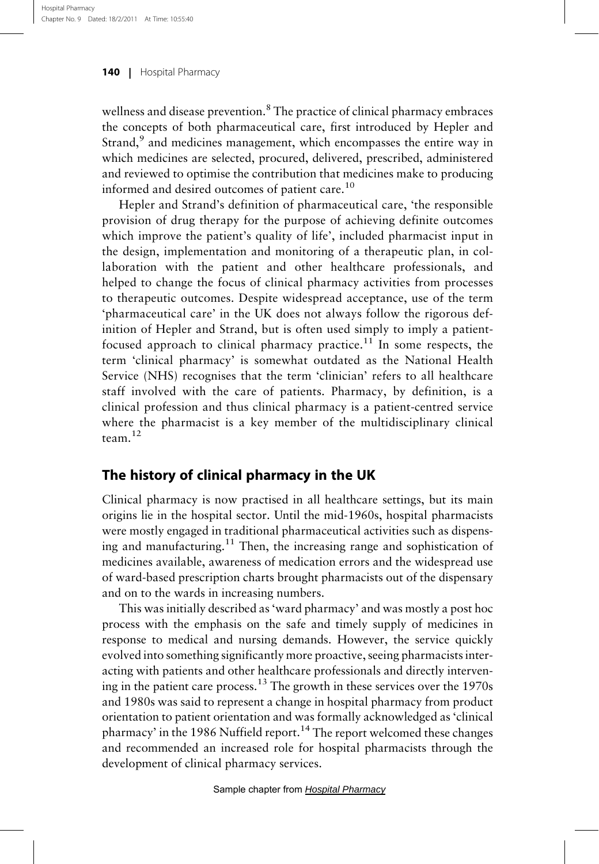wellness and disease prevention.<sup>[8](#page-19-0)</sup> The practice of clinical pharmacy embraces the concepts of both pharmaceutical care, first introduced by Hepler and Strand,<sup>[9](#page-19-0)</sup> and medicines management, which encompasses the entire way in which medicines are selected, procured, delivered, prescribed, administered and reviewed to optimise the contribution that medicines make to producing informed and desired outcomes of patient care.<sup>[10](#page-19-0)</sup>

Hepler and Strand's definition of pharmaceutical care, 'the responsible provision of drug therapy for the purpose of achieving definite outcomes which improve the patient's quality of life', included pharmacist input in the design, implementation and monitoring of a therapeutic plan, in collaboration with the patient and other healthcare professionals, and helped to change the focus of clinical pharmacy activities from processes to therapeutic outcomes. Despite widespread acceptance, use of the term 'pharmaceutical care' in the UK does not always follow the rigorous definition of Hepler and Strand, but is often used simply to imply a patient-focused approach to clinical pharmacy practice.<sup>[11](#page-19-0)</sup> In some respects, the term 'clinical pharmacy' is somewhat outdated as the National Health Service (NHS) recognises that the term 'clinician' refers to all healthcare staff involved with the care of patients. Pharmacy, by definition, is a clinical profession and thus clinical pharmacy is a patient-centred service where the pharmacist is a key member of the multidisciplinary clinical team $12$ 

## The history of clinical pharmacy in the UK

Clinical pharmacy is now practised in all healthcare settings, but its main origins lie in the hospital sector. Until the mid-1960s, hospital pharmacists were mostly engaged in traditional pharmaceutical activities such as dispens-ing and manufacturing.<sup>[11](#page-19-0)</sup> Then, the increasing range and sophistication of medicines available, awareness of medication errors and the widespread use of ward-based prescription charts brought pharmacists out of the dispensary and on to the wards in increasing numbers.

This was initially described as 'ward pharmacy' and was mostly a post hoc process with the emphasis on the safe and timely supply of medicines in response to medical and nursing demands. However, the service quickly evolved into something significantly more proactive, seeing pharmacists interacting with patients and other healthcare professionals and directly intervening in the patient care process[.13](#page-19-0) The growth in these services over the 1970s and 1980s was said to represent a change in hospital pharmacy from product orientation to patient orientation and was formally acknowledged as 'clinical pharmacy' in the 1986 Nuffield report.<sup>14</sup> The report welcomed these changes and recommended an increased role for hospital pharmacists through the development of clinical pharmacy services.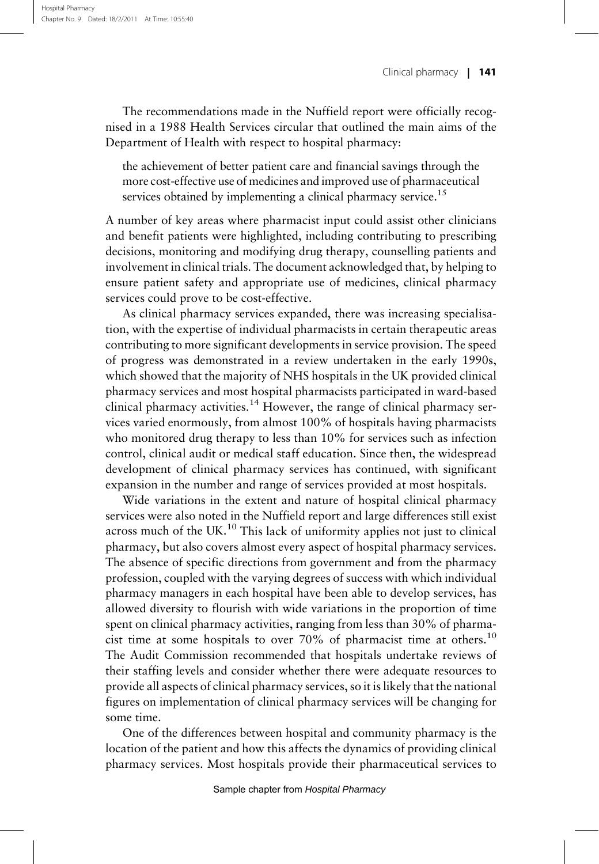The recommendations made in the Nuffield report were officially recognised in a 1988 Health Services circular that outlined the main aims of the Department of Health with respect to hospital pharmacy:

the achievement of better patient care and financial savings through the more cost-effective use of medicines and improved use of pharmaceutical services obtained by implementing a clinical pharmacy service.<sup>15</sup>

A number of key areas where pharmacist input could assist other clinicians and benefit patients were highlighted, including contributing to prescribing decisions, monitoring and modifying drug therapy, counselling patients and involvement in clinical trials. The document acknowledged that, by helping to ensure patient safety and appropriate use of medicines, clinical pharmacy services could prove to be cost-effective.

As clinical pharmacy services expanded, there was increasing specialisation, with the expertise of individual pharmacists in certain therapeutic areas contributing to more significant developments in service provision. The speed of progress was demonstrated in a review undertaken in the early 1990s, which showed that the majority of NHS hospitals in the UK provided clinical pharmacy services and most hospital pharmacists participated in ward-based clinical pharmacy activities.<sup>[14](#page-19-0)</sup> However, the range of clinical pharmacy services varied enormously, from almost 100% of hospitals having pharmacists who monitored drug therapy to less than 10% for services such as infection control, clinical audit or medical staff education. Since then, the widespread development of clinical pharmacy services has continued, with significant expansion in the number and range of services provided at most hospitals.

Wide variations in the extent and nature of hospital clinical pharmacy services were also noted in the Nuffield report and large differences still exist across much of the UK. $^{10}$  $^{10}$  $^{10}$  This lack of uniformity applies not just to clinical pharmacy, but also covers almost every aspect of hospital pharmacy services. The absence of specific directions from government and from the pharmacy profession, coupled with the varying degrees of success with which individual pharmacy managers in each hospital have been able to develop services, has allowed diversity to flourish with wide variations in the proportion of time spent on clinical pharmacy activities, ranging from less than 30% of pharmacist time at some hospitals to over  $70\%$  of pharmacist time at others.<sup>10</sup> The Audit Commission recommended that hospitals undertake reviews of their staffing levels and consider whether there were adequate resources to provide all aspects of clinical pharmacy services, so it is likely that the national figures on implementation of clinical pharmacy services will be changing for some time.

One of the differences between hospital and community pharmacy is the location of the patient and how this affects the dynamics of providing clinical pharmacy services. Most hospitals provide their pharmaceutical services to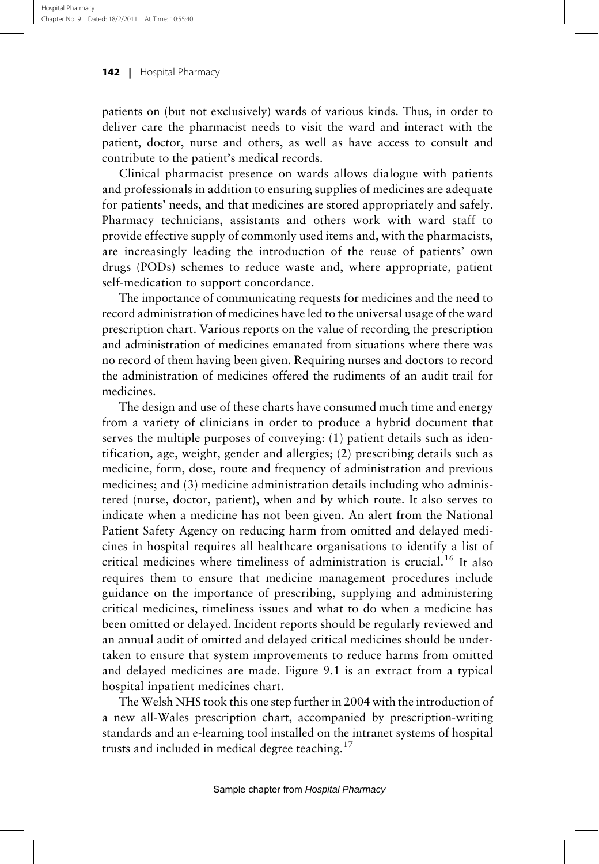patients on (but not exclusively) wards of various kinds. Thus, in order to deliver care the pharmacist needs to visit the ward and interact with the patient, doctor, nurse and others, as well as have access to consult and contribute to the patient's medical records.

Clinical pharmacist presence on wards allows dialogue with patients and professionals in addition to ensuring supplies of medicines are adequate for patients' needs, and that medicines are stored appropriately and safely. Pharmacy technicians, assistants and others work with ward staff to provide effective supply of commonly used items and, with the pharmacists, are increasingly leading the introduction of the reuse of patients' own drugs (PODs) schemes to reduce waste and, where appropriate, patient self-medication to support concordance.

The importance of communicating requests for medicines and the need to record administration of medicines have led to the universal usage of the ward prescription chart. Various reports on the value of recording the prescription and administration of medicines emanated from situations where there was no record of them having been given. Requiring nurses and doctors to record the administration of medicines offered the rudiments of an audit trail for medicines.

The design and use of these charts have consumed much time and energy from a variety of clinicians in order to produce a hybrid document that serves the multiple purposes of conveying: (1) patient details such as identification, age, weight, gender and allergies; (2) prescribing details such as medicine, form, dose, route and frequency of administration and previous medicines; and (3) medicine administration details including who administered (nurse, doctor, patient), when and by which route. It also serves to indicate when a medicine has not been given. An alert from the National Patient Safety Agency on reducing harm from omitted and delayed medicines in hospital requires all healthcare organisations to identify a list of critical medicines where timeliness of administration is crucial.<sup>[16](#page-19-0)</sup> It also requires them to ensure that medicine management procedures include guidance on the importance of prescribing, supplying and administering critical medicines, timeliness issues and what to do when a medicine has been omitted or delayed. Incident reports should be regularly reviewed and an annual audit of omitted and delayed critical medicines should be undertaken to ensure that system improvements to reduce harms from omitted and delayed medicines are made. [Figure 9.1](#page-4-0) is an extract from a typical hospital inpatient medicines chart.

The Welsh NHS took this one step further in 2004 with the introduction of a new all-Wales prescription chart, accompanied by prescription-writing standards and an e-learning tool installed on the intranet systems of hospital trusts and included in medical degree teaching.<sup>[17](#page-19-0)</sup>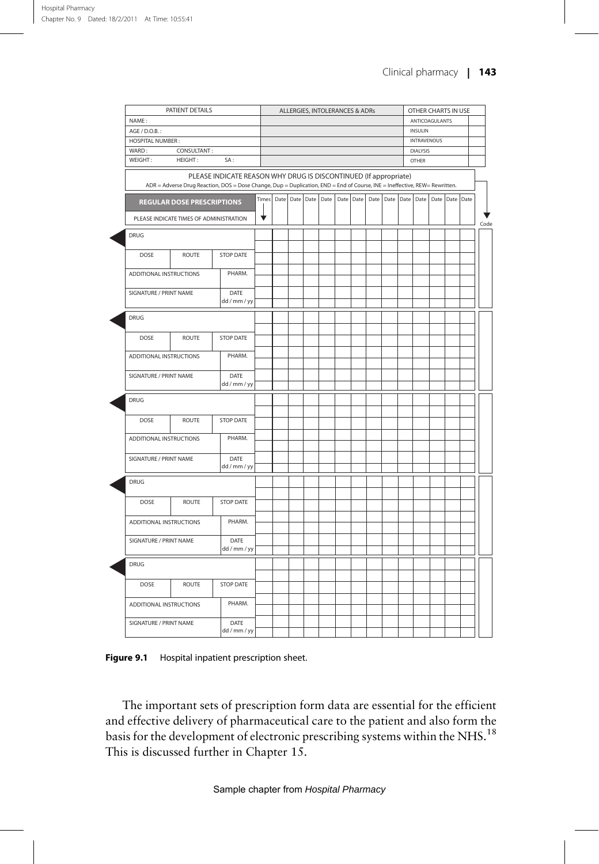<span id="page-4-0"></span>

| PATIENT DETAILS                   |                                         |                                                                                                                                                                                                |   | ALLERGIES, INTOLERANCES & ADRs |  |  |                                                                      |  |  |  |  |  | OTHER CHARTS IN USE       |  |  |  |  |
|-----------------------------------|-----------------------------------------|------------------------------------------------------------------------------------------------------------------------------------------------------------------------------------------------|---|--------------------------------|--|--|----------------------------------------------------------------------|--|--|--|--|--|---------------------------|--|--|--|--|
| NAME:                             |                                         |                                                                                                                                                                                                |   |                                |  |  |                                                                      |  |  |  |  |  | ANTICOAGULANTS            |  |  |  |  |
| AGE / D.O.B.:                     |                                         |                                                                                                                                                                                                |   |                                |  |  |                                                                      |  |  |  |  |  | <b>INSULIN</b>            |  |  |  |  |
| <b>HOSPITAL NUMBER:</b>           |                                         |                                                                                                                                                                                                |   |                                |  |  |                                                                      |  |  |  |  |  | <b>INTRAVENOUS</b>        |  |  |  |  |
| WARD:<br>CONSULTANT:              |                                         |                                                                                                                                                                                                |   |                                |  |  |                                                                      |  |  |  |  |  | DIALYSIS                  |  |  |  |  |
| WEIGHT:<br>HEIGHT:<br>SA:         |                                         |                                                                                                                                                                                                |   |                                |  |  |                                                                      |  |  |  |  |  | OTHER                     |  |  |  |  |
|                                   |                                         | PLEASE INDICATE REASON WHY DRUG IS DISCONTINUED (If appropriate)<br>ADR = Adverse Drug Reaction, DOS = Dose Change, Dup = Duplication, END = End of Course, INE = Ineffective, REW= Rewritten. |   |                                |  |  |                                                                      |  |  |  |  |  |                           |  |  |  |  |
| <b>REGULAR DOSE PRESCRIPTIONS</b> |                                         |                                                                                                                                                                                                |   |                                |  |  | Times   Date   Date   Date   Date   Date   Date   Date   Date   Date |  |  |  |  |  | Date   Date   Date   Date |  |  |  |  |
|                                   | PLEASE INDICATE TIMES OF ADMINISTRATION |                                                                                                                                                                                                | v |                                |  |  |                                                                      |  |  |  |  |  |                           |  |  |  |  |
| <b>DRUG</b>                       |                                         |                                                                                                                                                                                                |   |                                |  |  |                                                                      |  |  |  |  |  |                           |  |  |  |  |
| DOSE                              | ROUTE                                   | <b>STOP DATE</b>                                                                                                                                                                               |   |                                |  |  |                                                                      |  |  |  |  |  |                           |  |  |  |  |
| PHARM.<br>ADDITIONAL INSTRUCTIONS |                                         |                                                                                                                                                                                                |   |                                |  |  |                                                                      |  |  |  |  |  |                           |  |  |  |  |
| SIGNATURE / PRINT NAME            |                                         | DATE<br>dd / mm / yy                                                                                                                                                                           |   |                                |  |  |                                                                      |  |  |  |  |  |                           |  |  |  |  |
| <b>DRUG</b>                       |                                         |                                                                                                                                                                                                |   |                                |  |  |                                                                      |  |  |  |  |  |                           |  |  |  |  |
| DOSE                              | <b>ROUTE</b>                            | <b>STOP DATE</b>                                                                                                                                                                               |   |                                |  |  |                                                                      |  |  |  |  |  |                           |  |  |  |  |
| PHARM.<br>ADDITIONAL INSTRUCTIONS |                                         |                                                                                                                                                                                                |   |                                |  |  |                                                                      |  |  |  |  |  |                           |  |  |  |  |
| SIGNATURE / PRINT NAME<br>DATE    |                                         | dd / mm / yy                                                                                                                                                                                   |   |                                |  |  |                                                                      |  |  |  |  |  |                           |  |  |  |  |
| <b>DRUG</b>                       |                                         |                                                                                                                                                                                                |   |                                |  |  |                                                                      |  |  |  |  |  |                           |  |  |  |  |
| DOSE                              | <b>ROUTE</b>                            | <b>STOP DATE</b>                                                                                                                                                                               |   |                                |  |  |                                                                      |  |  |  |  |  |                           |  |  |  |  |
| ADDITIONAL INSTRUCTIONS           |                                         | PHARM.                                                                                                                                                                                         |   |                                |  |  |                                                                      |  |  |  |  |  |                           |  |  |  |  |
| SIGNATURE / PRINT NAME            |                                         | DATE<br>dd / mm / yy                                                                                                                                                                           |   |                                |  |  |                                                                      |  |  |  |  |  |                           |  |  |  |  |
| <b>DRUG</b>                       |                                         |                                                                                                                                                                                                |   |                                |  |  |                                                                      |  |  |  |  |  |                           |  |  |  |  |
| <b>DOSE</b>                       | <b>ROUTE</b>                            | <b>STOP DATE</b>                                                                                                                                                                               |   |                                |  |  |                                                                      |  |  |  |  |  |                           |  |  |  |  |
| ADDITIONAL INSTRUCTIONS           |                                         | PHARM.                                                                                                                                                                                         |   |                                |  |  |                                                                      |  |  |  |  |  |                           |  |  |  |  |
| SIGNATURE / PRINT NAME            |                                         | DATE<br>dd / mm / yy                                                                                                                                                                           |   |                                |  |  |                                                                      |  |  |  |  |  |                           |  |  |  |  |
| DRUG                              |                                         |                                                                                                                                                                                                |   |                                |  |  |                                                                      |  |  |  |  |  |                           |  |  |  |  |
| DOSE                              | <b>ROUTE</b>                            | <b>STOP DATE</b>                                                                                                                                                                               |   |                                |  |  |                                                                      |  |  |  |  |  |                           |  |  |  |  |
| ADDITIONAL INSTRUCTIONS           |                                         | PHARM.                                                                                                                                                                                         |   |                                |  |  |                                                                      |  |  |  |  |  |                           |  |  |  |  |
| SIGNATURE / PRINT NAME            |                                         | DATE<br>dd / mm / yy                                                                                                                                                                           |   |                                |  |  |                                                                      |  |  |  |  |  |                           |  |  |  |  |

Figure 9.1 Hospital inpatient prescription sheet.

The important sets of prescription form data are essential for the efficient and effective delivery of pharmaceutical care to the patient and also form the basis for the development of electronic prescribing systems within the NHS.<sup>[18](#page-19-0)</sup> This is discussed further in Chapter 15.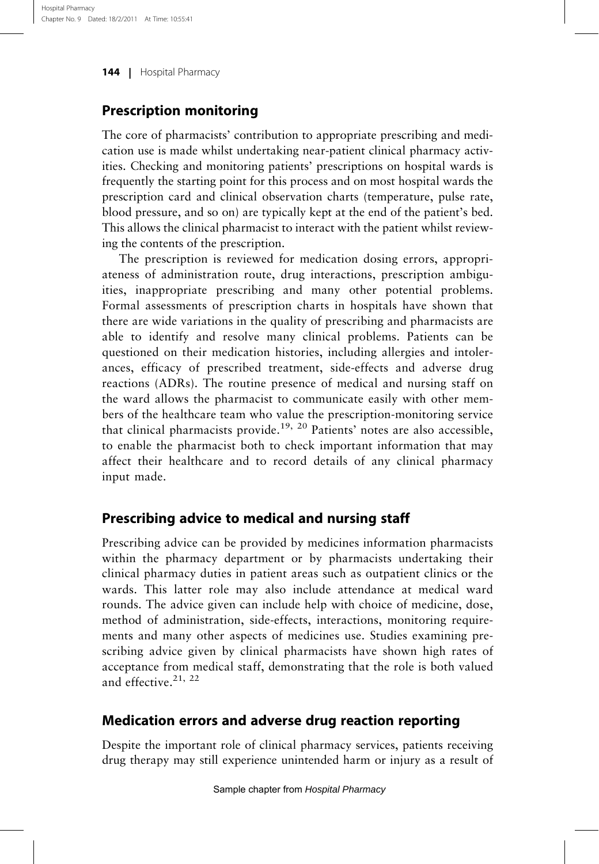# Prescription monitoring

The core of pharmacists' contribution to appropriate prescribing and medication use is made whilst undertaking near-patient clinical pharmacy activities. Checking and monitoring patients' prescriptions on hospital wards is frequently the starting point for this process and on most hospital wards the prescription card and clinical observation charts (temperature, pulse rate, blood pressure, and so on) are typically kept at the end of the patient's bed. This allows the clinical pharmacist to interact with the patient whilst reviewing the contents of the prescription.

The prescription is reviewed for medication dosing errors, appropriateness of administration route, drug interactions, prescription ambiguities, inappropriate prescribing and many other potential problems. Formal assessments of prescription charts in hospitals have shown that there are wide variations in the quality of prescribing and pharmacists are able to identify and resolve many clinical problems. Patients can be questioned on their medication histories, including allergies and intolerances, efficacy of prescribed treatment, side-effects and adverse drug reactions (ADRs). The routine presence of medical and nursing staff on the ward allows the pharmacist to communicate easily with other members of the healthcare team who value the prescription-monitoring service that clinical pharmacists provide.<sup>[19, 20](#page-19-0)</sup> Patients' notes are also accessible, to enable the pharmacist both to check important information that may affect their healthcare and to record details of any clinical pharmacy input made.

## Prescribing advice to medical and nursing staff

Prescribing advice can be provided by medicines information pharmacists within the pharmacy department or by pharmacists undertaking their clinical pharmacy duties in patient areas such as outpatient clinics or the wards. This latter role may also include attendance at medical ward rounds. The advice given can include help with choice of medicine, dose, method of administration, side-effects, interactions, monitoring requirements and many other aspects of medicines use. Studies examining prescribing advice given by clinical pharmacists have shown high rates of acceptance from medical staff, demonstrating that the role is both valued and effective. $21, 22$ 

#### Medication errors and adverse drug reaction reporting

Despite the important role of clinical pharmacy services, patients receiving drug therapy may still experience unintended harm or injury as a result of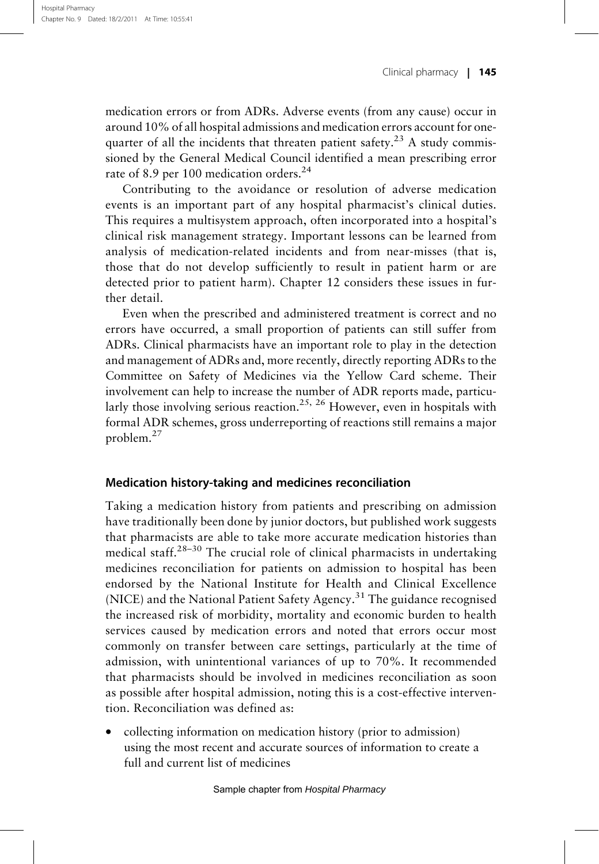medication errors or from ADRs. Adverse events (from any cause) occur in around 10% of all hospital admissions and medication errors account for one-quarter of all the incidents that threaten patient safety.<sup>[23](#page-19-0)</sup> A study commissioned by the General Medical Council identified a mean prescribing error rate of 8.9 per 100 medication orders.<sup>[24](#page-19-0)</sup>

Contributing to the avoidance or resolution of adverse medication events is an important part of any hospital pharmacist's clinical duties. This requires a multisystem approach, often incorporated into a hospital's clinical risk management strategy. Important lessons can be learned from analysis of medication-related incidents and from near-misses (that is, those that do not develop sufficiently to result in patient harm or are detected prior to patient harm). Chapter 12 considers these issues in further detail.

Even when the prescribed and administered treatment is correct and no errors have occurred, a small proportion of patients can still suffer from ADRs. Clinical pharmacists have an important role to play in the detection and management of ADRs and, more recently, directly reporting ADRs to the Committee on Safety of Medicines via the Yellow Card scheme. Their involvement can help to increase the number of ADR reports made, particu-larly those involving serious reaction.<sup>[25, 26](#page-20-0)</sup> However, even in hospitals with formal ADR schemes, gross underreporting of reactions still remains a major problem.[27](#page-20-0)

#### Medication history-taking and medicines reconciliation

Taking a medication history from patients and prescribing on admission have traditionally been done by junior doctors, but published work suggests that pharmacists are able to take more accurate medication histories than medical staff.<sup>[28–30](#page-20-0)</sup> The crucial role of clinical pharmacists in undertaking medicines reconciliation for patients on admission to hospital has been endorsed by the National Institute for Health and Clinical Excellence (NICE) and the National Patient Safety Agency.<sup>[31](#page-20-0)</sup> The guidance recognised the increased risk of morbidity, mortality and economic burden to health services caused by medication errors and noted that errors occur most commonly on transfer between care settings, particularly at the time of admission, with unintentional variances of up to 70%. It recommended that pharmacists should be involved in medicines reconciliation as soon as possible after hospital admission, noting this is a cost-effective intervention. Reconciliation was defined as:

\* collecting information on medication history (prior to admission) using the most recent and accurate sources of information to create a full and current list of medicines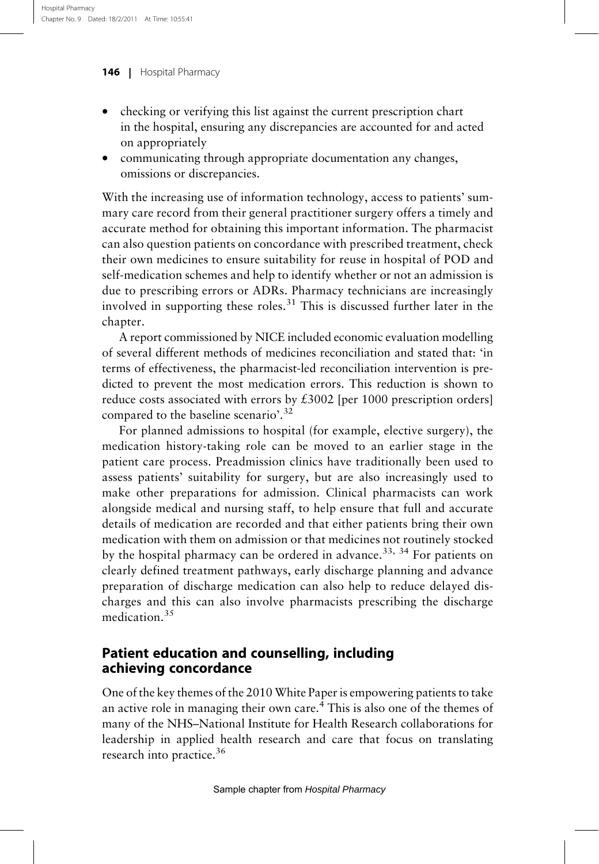- checking or verifying this list against the current prescription chart in the hospital, ensuring any discrepancies are accounted for and acted on appropriately
- communicating through appropriate documentation any changes, omissions or discrepancies.

With the increasing use of information technology, access to patients' summary care record from their general practitioner surgery offers a timely and accurate method for obtaining this important information. The pharmacist can also question patients on concordance with prescribed treatment, check their own medicines to ensure suitability for reuse in hospital of POD and self-medication schemes and help to identify whether or not an admission is due to prescribing errors or ADRs. Pharmacy technicians are increasingly involved in supporting these roles.<sup>[31](#page-20-0)</sup> This is discussed further later in the chapter.

A report commissioned by NICE included economic evaluation modelling of several different methods of medicines reconciliation and stated that: 'in terms of effectiveness, the pharmacist-led reconciliation intervention is predicted to prevent the most medication errors. This reduction is shown to reduce costs associated with errors by £3002 [per 1000 prescription orders] compared to the baseline scenario'.[32](#page-20-0)

For planned admissions to hospital (for example, elective surgery), the medication history-taking role can be moved to an earlier stage in the patient care process. Preadmission clinics have traditionally been used to assess patients' suitability for surgery, but are also increasingly used to make other preparations for admission. Clinical pharmacists can work alongside medical and nursing staff, to help ensure that full and accurate details of medication are recorded and that either patients bring their own medication with them on admission or that medicines not routinely stocked by the hospital pharmacy can be ordered in advance.<sup>[33, 34](#page-20-0)</sup> For patients on clearly defined treatment pathways, early discharge planning and advance preparation of discharge medication can also help to reduce delayed discharges and this can also involve pharmacists prescribing the discharge medication.[35](#page-20-0)

#### Patient education and counselling, including achieving concordance

One of the key themes of the 2010 White Paper is empowering patients to take an active role in managing their own care.<sup>[4](#page-19-0)</sup> This is also one of the themes of many of the NHS–National Institute for Health Research collaborations for leadership in applied health research and care that focus on translating research into practice.[36](#page-20-0)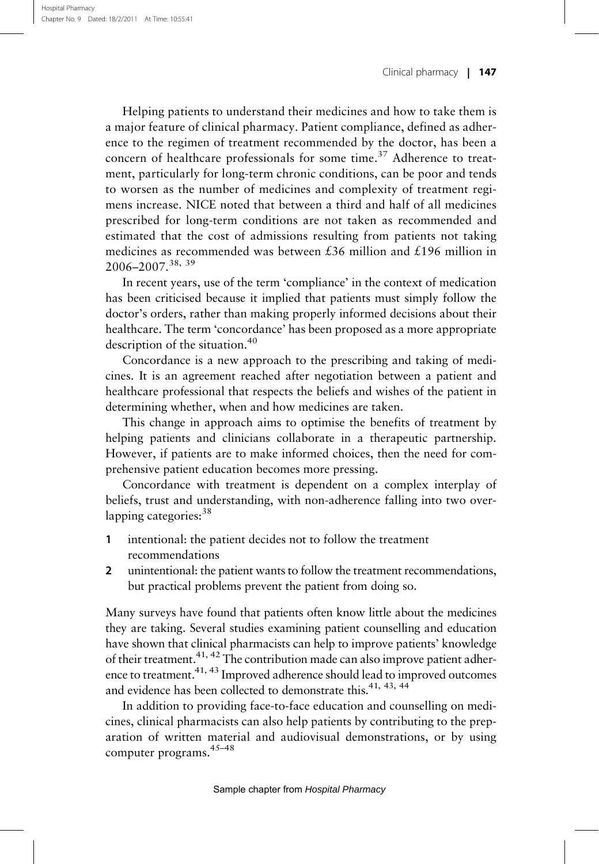Helping patients to understand their medicines and how to take them is a major feature of clinical pharmacy. Patient compliance, defined as adherence to the regimen of treatment recommended by the doctor, has been a concern of healthcare professionals for some time.<sup>[37](#page-20-0)</sup> Adherence to treatment, particularly for long-term chronic conditions, can be poor and tends to worsen as the number of medicines and complexity of treatment regimens increase. NICE noted that between a third and half of all medicines prescribed for long-term conditions are not taken as recommended and estimated that the cost of admissions resulting from patients not taking medicines as recommended was between £36 million and £196 million in 2006–2007.[38, 39](#page-20-0)

In recent years, use of the term 'compliance' in the context of medication has been criticised because it implied that patients must simply follow the doctor's orders, rather than making properly informed decisions about their healthcare. The term 'concordance' has been proposed as a more appropriate description of the situation.<sup>[40](#page-20-0)</sup>

Concordance is a new approach to the prescribing and taking of medicines. It is an agreement reached after negotiation between a patient and healthcare professional that respects the beliefs and wishes of the patient in determining whether, when and how medicines are taken.

This change in approach aims to optimise the benefits of treatment by helping patients and clinicians collaborate in a therapeutic partnership. However, if patients are to make informed choices, then the need for comprehensive patient education becomes more pressing.

Concordance with treatment is dependent on a complex interplay of beliefs, trust and understanding, with non-adherence falling into two overlapping categories: $38$ 

- 1 intentional: the patient decides not to follow the treatment recommendations
- 2 unintentional: the patient wants to follow the treatment recommendations, but practical problems prevent the patient from doing so.

Many surveys have found that patients often know little about the medicines they are taking. Several studies examining patient counselling and education have shown that clinical pharmacists can help to improve patients' knowledge of their treatment.<sup>41, 42</sup> The contribution made can also improve patient adherence to treatment.<sup>41, 43</sup> Improved adherence should lead to improved outcomes and evidence has been collected to demonstrate this.<sup>41, 43, 44</sup>

In addition to providing face-to-face education and counselling on medicines, clinical pharmacists can also help patients by contributing to the preparation of written material and audiovisual demonstrations, or by using computer programs.  $45-48$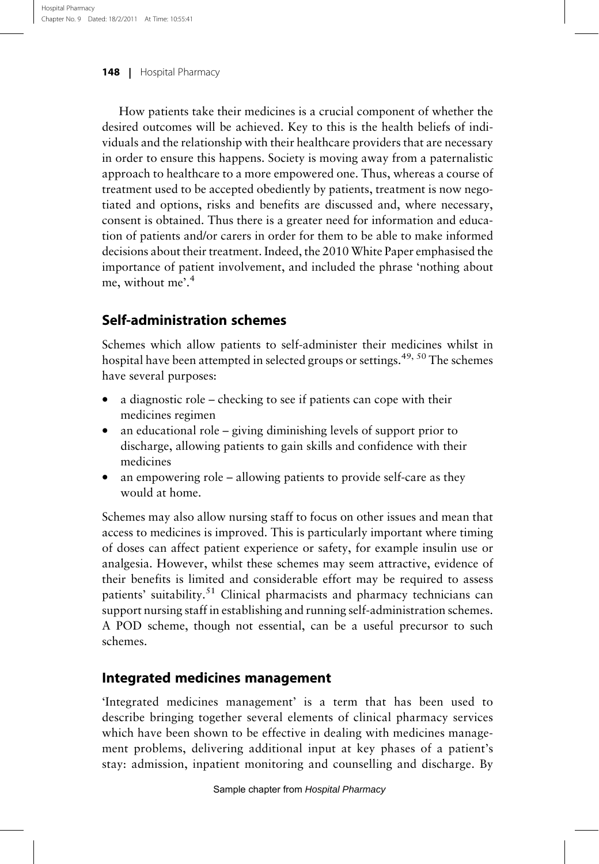How patients take their medicines is a crucial component of whether the desired outcomes will be achieved. Key to this is the health beliefs of individuals and the relationship with their healthcare providers that are necessary in order to ensure this happens. Society is moving away from a paternalistic approach to healthcare to a more empowered one. Thus, whereas a course of treatment used to be accepted obediently by patients, treatment is now negotiated and options, risks and benefits are discussed and, where necessary, consent is obtained. Thus there is a greater need for information and education of patients and/or carers in order for them to be able to make informed decisions about their treatment. Indeed, the 2010 White Paper emphasised the importance of patient involvement, and included the phrase 'nothing about me, without me'.<sup>[4](#page-19-0)</sup>

# Self-administration schemes

Schemes which allow patients to self-administer their medicines whilst in hospital have been attempted in selected groups or settings.<sup>[49, 50](#page-20-0)</sup> The schemes have several purposes:

- a diagnostic role checking to see if patients can cope with their medicines regimen
- $\bullet$  an educational role giving diminishing levels of support prior to discharge, allowing patients to gain skills and confidence with their medicines
- $\bullet$  an empowering role allowing patients to provide self-care as they would at home.

Schemes may also allow nursing staff to focus on other issues and mean that access to medicines is improved. This is particularly important where timing of doses can affect patient experience or safety, for example insulin use or analgesia. However, whilst these schemes may seem attractive, evidence of their benefits is limited and considerable effort may be required to assess patients' suitability.<sup>[51](#page-21-0)</sup> Clinical pharmacists and pharmacy technicians can support nursing staff in establishing and running self-administration schemes. A POD scheme, though not essential, can be a useful precursor to such schemes.

## Integrated medicines management

'Integrated medicines management' is a term that has been used to describe bringing together several elements of clinical pharmacy services which have been shown to be effective in dealing with medicines management problems, delivering additional input at key phases of a patient's stay: admission, inpatient monitoring and counselling and discharge. By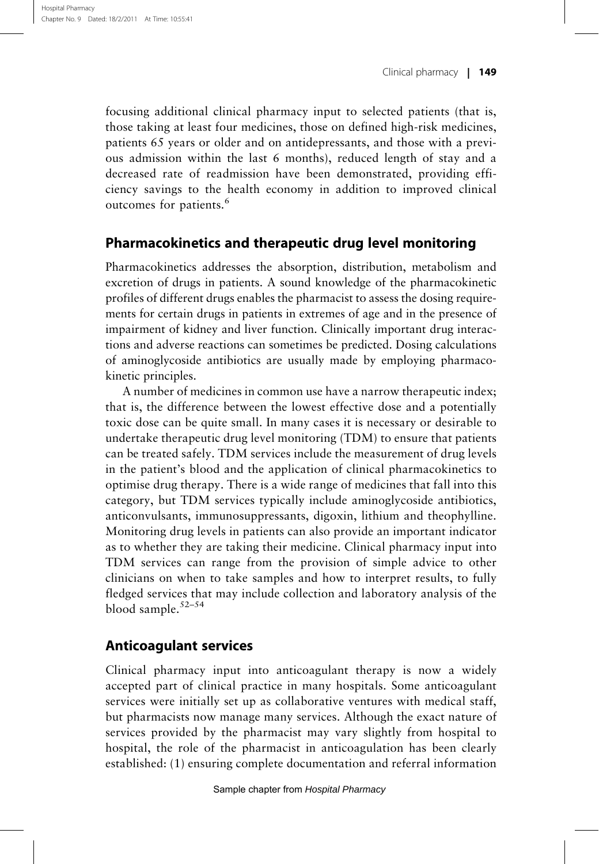focusing additional clinical pharmacy input to selected patients (that is, those taking at least four medicines, those on defined high-risk medicines, patients 65 years or older and on antidepressants, and those with a previous admission within the last 6 months), reduced length of stay and a decreased rate of readmission have been demonstrated, providing efficiency savings to the health economy in addition to improved clinical outcomes for patients.[6](#page-19-0)

#### Pharmacokinetics and therapeutic drug level monitoring

Pharmacokinetics addresses the absorption, distribution, metabolism and excretion of drugs in patients. A sound knowledge of the pharmacokinetic profiles of different drugs enables the pharmacist to assess the dosing requirements for certain drugs in patients in extremes of age and in the presence of impairment of kidney and liver function. Clinically important drug interactions and adverse reactions can sometimes be predicted. Dosing calculations of aminoglycoside antibiotics are usually made by employing pharmacokinetic principles.

A number of medicines in common use have a narrow therapeutic index; that is, the difference between the lowest effective dose and a potentially toxic dose can be quite small. In many cases it is necessary or desirable to undertake therapeutic drug level monitoring (TDM) to ensure that patients can be treated safely. TDM services include the measurement of drug levels in the patient's blood and the application of clinical pharmacokinetics to optimise drug therapy. There is a wide range of medicines that fall into this category, but TDM services typically include aminoglycoside antibiotics, anticonvulsants, immunosuppressants, digoxin, lithium and theophylline. Monitoring drug levels in patients can also provide an important indicator as to whether they are taking their medicine. Clinical pharmacy input into TDM services can range from the provision of simple advice to other clinicians on when to take samples and how to interpret results, to fully fledged services that may include collection and laboratory analysis of the blood sample. $52-54$ 

#### Anticoagulant services

Clinical pharmacy input into anticoagulant therapy is now a widely accepted part of clinical practice in many hospitals. Some anticoagulant services were initially set up as collaborative ventures with medical staff, but pharmacists now manage many services. Although the exact nature of services provided by the pharmacist may vary slightly from hospital to hospital, the role of the pharmacist in anticoagulation has been clearly established: (1) ensuring complete documentation and referral information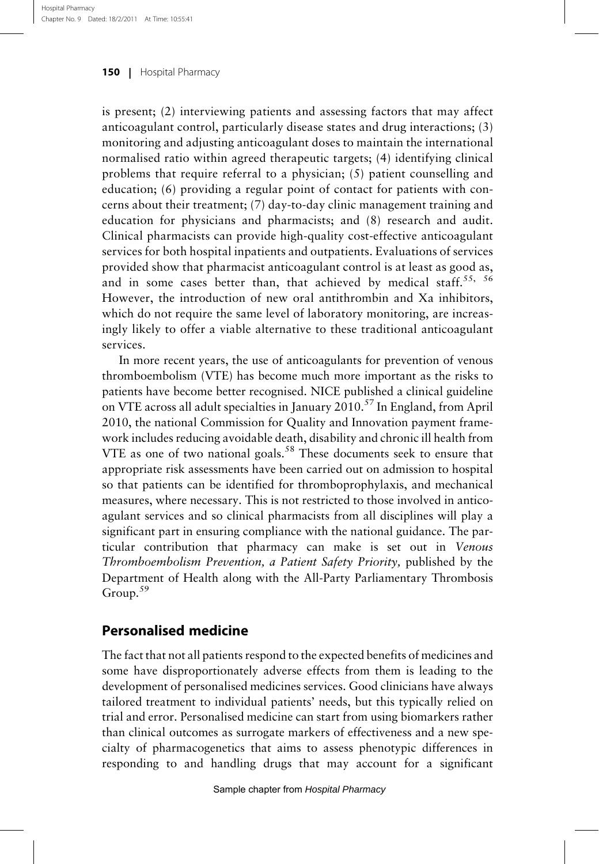is present; (2) interviewing patients and assessing factors that may affect anticoagulant control, particularly disease states and drug interactions; (3) monitoring and adjusting anticoagulant doses to maintain the international normalised ratio within agreed therapeutic targets; (4) identifying clinical problems that require referral to a physician; (5) patient counselling and education; (6) providing a regular point of contact for patients with concerns about their treatment; (7) day-to-day clinic management training and education for physicians and pharmacists; and (8) research and audit. Clinical pharmacists can provide high-quality cost-effective anticoagulant services for both hospital inpatients and outpatients. Evaluations of services provided show that pharmacist anticoagulant control is at least as good as, and in some cases better than, that achieved by medical staff.<sup>[55, 56](#page-21-0)</sup> However, the introduction of new oral antithrombin and Xa inhibitors, which do not require the same level of laboratory monitoring, are increasingly likely to offer a viable alternative to these traditional anticoagulant services.

In more recent years, the use of anticoagulants for prevention of venous thromboembolism (VTE) has become much more important as the risks to patients have become better recognised. NICE published a clinical guideline on VTE across all adult specialties in January 2010.<sup>[57](#page-21-0)</sup> In England, from April 2010, the national Commission for Quality and Innovation payment framework includes reducing avoidable death, disability and chronic ill health from VTE as one of two national goals.<sup>[58](#page-21-0)</sup> These documents seek to ensure that appropriate risk assessments have been carried out on admission to hospital so that patients can be identified for thromboprophylaxis, and mechanical measures, where necessary. This is not restricted to those involved in anticoagulant services and so clinical pharmacists from all disciplines will play a significant part in ensuring compliance with the national guidance. The particular contribution that pharmacy can make is set out in Venous Thromboembolism Prevention, a Patient Safety Priority, published by the Department of Health along with the All-Party Parliamentary Thrombosis Group.<sup>[59](#page-21-0)</sup>

#### Personalised medicine

The fact that not all patients respond to the expected benefits of medicines and some have disproportionately adverse effects from them is leading to the development of personalised medicines services. Good clinicians have always tailored treatment to individual patients' needs, but this typically relied on trial and error. Personalised medicine can start from using biomarkers rather than clinical outcomes as surrogate markers of effectiveness and a new specialty of pharmacogenetics that aims to assess phenotypic differences in responding to and handling drugs that may account for a significant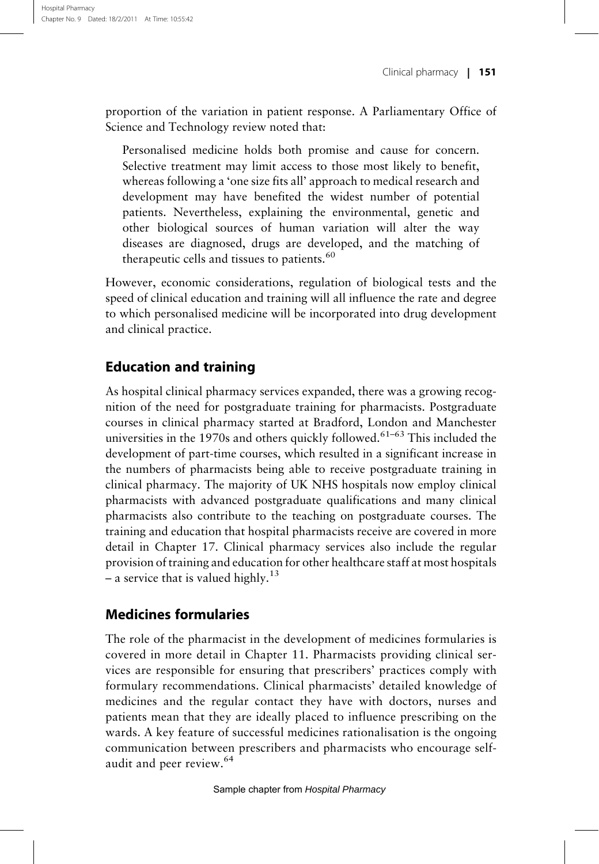proportion of the variation in patient response. A Parliamentary Office of Science and Technology review noted that:

Personalised medicine holds both promise and cause for concern. Selective treatment may limit access to those most likely to benefit, whereas following a 'one size fits all' approach to medical research and development may have benefited the widest number of potential patients. Nevertheless, explaining the environmental, genetic and other biological sources of human variation will alter the way diseases are diagnosed, drugs are developed, and the matching of therapeutic cells and tissues to patients.<sup>[60](#page-21-0)</sup>

However, economic considerations, regulation of biological tests and the speed of clinical education and training will all influence the rate and degree to which personalised medicine will be incorporated into drug development and clinical practice.

# Education and training

As hospital clinical pharmacy services expanded, there was a growing recognition of the need for postgraduate training for pharmacists. Postgraduate courses in clinical pharmacy started at Bradford, London and Manchester universities in the 1970s and others quickly followed.<sup>[61–63](#page-21-0)</sup> This included the development of part-time courses, which resulted in a significant increase in the numbers of pharmacists being able to receive postgraduate training in clinical pharmacy. The majority of UK NHS hospitals now employ clinical pharmacists with advanced postgraduate qualifications and many clinical pharmacists also contribute to the teaching on postgraduate courses. The training and education that hospital pharmacists receive are covered in more detail in Chapter 17. Clinical pharmacy services also include the regular provision of training and education for other healthcare staff at most hospitals – a service that is valued highly.<sup>[13](#page-19-0)</sup>

#### Medicines formularies

The role of the pharmacist in the development of medicines formularies is covered in more detail in Chapter 11. Pharmacists providing clinical services are responsible for ensuring that prescribers' practices comply with formulary recommendations. Clinical pharmacists' detailed knowledge of medicines and the regular contact they have with doctors, nurses and patients mean that they are ideally placed to influence prescribing on the wards. A key feature of successful medicines rationalisation is the ongoing communication between prescribers and pharmacists who encourage self-audit and peer review.<sup>[64](#page-21-0)</sup>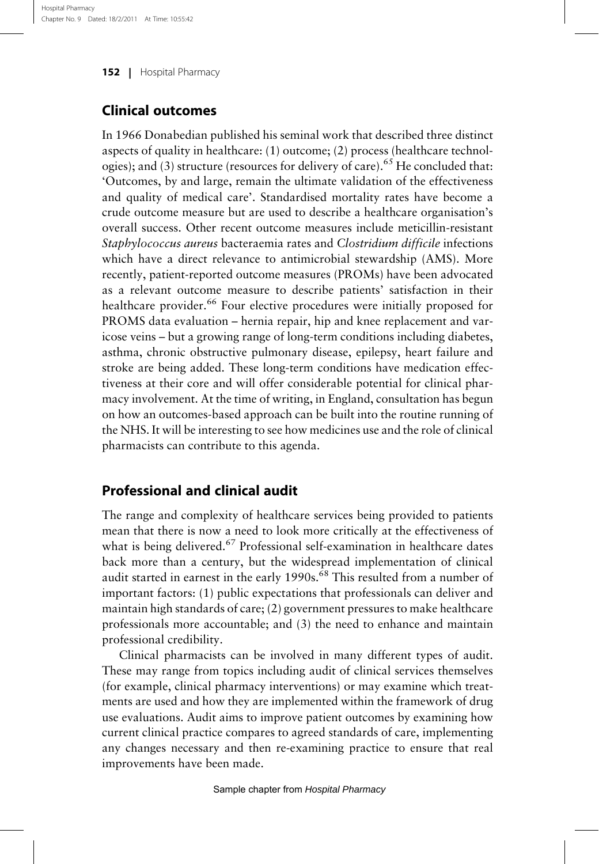## Clinical outcomes

In 1966 Donabedian published his seminal work that described three distinct aspects of quality in healthcare: (1) outcome; (2) process (healthcare technologies); and (3) structure (resources for delivery of care).<sup>65</sup> He concluded that: 'Outcomes, by and large, remain the ultimate validation of the effectiveness and quality of medical care'. Standardised mortality rates have become a crude outcome measure but are used to describe a healthcare organisation's overall success. Other recent outcome measures include meticillin-resistant Staphylococcus aureus bacteraemia rates and Clostridium difficile infections which have a direct relevance to antimicrobial stewardship (AMS). More recently, patient-reported outcome measures (PROMs) have been advocated as a relevant outcome measure to describe patients' satisfaction in their healthcare provider.<sup>[66](#page-21-0)</sup> Four elective procedures were initially proposed for PROMS data evaluation – hernia repair, hip and knee replacement and varicose veins – but a growing range of long-term conditions including diabetes, asthma, chronic obstructive pulmonary disease, epilepsy, heart failure and stroke are being added. These long-term conditions have medication effectiveness at their core and will offer considerable potential for clinical pharmacy involvement. At the time of writing, in England, consultation has begun on how an outcomes-based approach can be built into the routine running of the NHS. It will be interesting to see how medicines use and the role of clinical pharmacists can contribute to this agenda.

#### Professional and clinical audit

The range and complexity of healthcare services being provided to patients mean that there is now a need to look more critically at the effectiveness of what is being delivered.<sup>[67](#page-21-0)</sup> Professional self-examination in healthcare dates back more than a century, but the widespread implementation of clinical audit started in earnest in the early 1990s.<sup>[68](#page-21-0)</sup> This resulted from a number of important factors: (1) public expectations that professionals can deliver and maintain high standards of care; (2) government pressures to make healthcare professionals more accountable; and (3) the need to enhance and maintain professional credibility.

Clinical pharmacists can be involved in many different types of audit. These may range from topics including audit of clinical services themselves (for example, clinical pharmacy interventions) or may examine which treatments are used and how they are implemented within the framework of drug use evaluations. Audit aims to improve patient outcomes by examining how current clinical practice compares to agreed standards of care, implementing any changes necessary and then re-examining practice to ensure that real improvements have been made.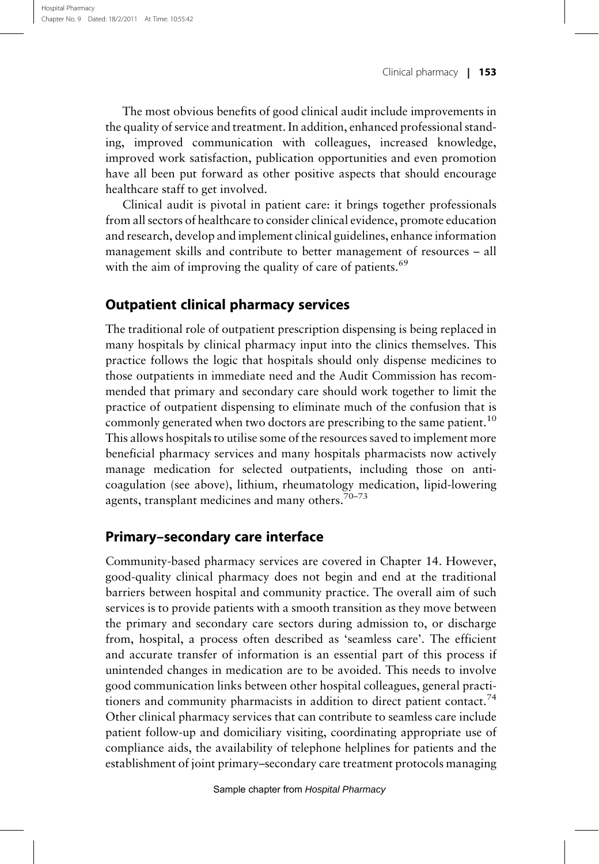The most obvious benefits of good clinical audit include improvements in the quality of service and treatment. In addition, enhanced professional standing, improved communication with colleagues, increased knowledge, improved work satisfaction, publication opportunities and even promotion have all been put forward as other positive aspects that should encourage healthcare staff to get involved.

Clinical audit is pivotal in patient care: it brings together professionals from all sectors of healthcare to consider clinical evidence, promote education and research, develop and implement clinical guidelines, enhance information management skills and contribute to better management of resources – all with the aim of improving the quality of care of patients.<sup>[69](#page-21-0)</sup>

#### Outpatient clinical pharmacy services

The traditional role of outpatient prescription dispensing is being replaced in many hospitals by clinical pharmacy input into the clinics themselves. This practice follows the logic that hospitals should only dispense medicines to those outpatients in immediate need and the Audit Commission has recommended that primary and secondary care should work together to limit the practice of outpatient dispensing to eliminate much of the confusion that is commonly generated when two doctors are prescribing to the same patient.<sup>[10](#page-19-0)</sup> This allows hospitals to utilise some of the resources saved to implement more beneficial pharmacy services and many hospitals pharmacists now actively manage medication for selected outpatients, including those on anticoagulation (see above), lithium, rheumatology medication, lipid-lowering agents, transplant medicines and many others. $70-73$ 

#### Primary*–*secondary care interface

Community-based pharmacy services are covered in Chapter 14. However, good-quality clinical pharmacy does not begin and end at the traditional barriers between hospital and community practice. The overall aim of such services is to provide patients with a smooth transition as they move between the primary and secondary care sectors during admission to, or discharge from, hospital, a process often described as 'seamless care'. The efficient and accurate transfer of information is an essential part of this process if unintended changes in medication are to be avoided. This needs to involve good communication links between other hospital colleagues, general practi-tioners and community pharmacists in addition to direct patient contact.<sup>[74](#page-21-0)</sup> Other clinical pharmacy services that can contribute to seamless care include patient follow-up and domiciliary visiting, coordinating appropriate use of compliance aids, the availability of telephone helplines for patients and the establishment of joint primary–secondary care treatment protocols managing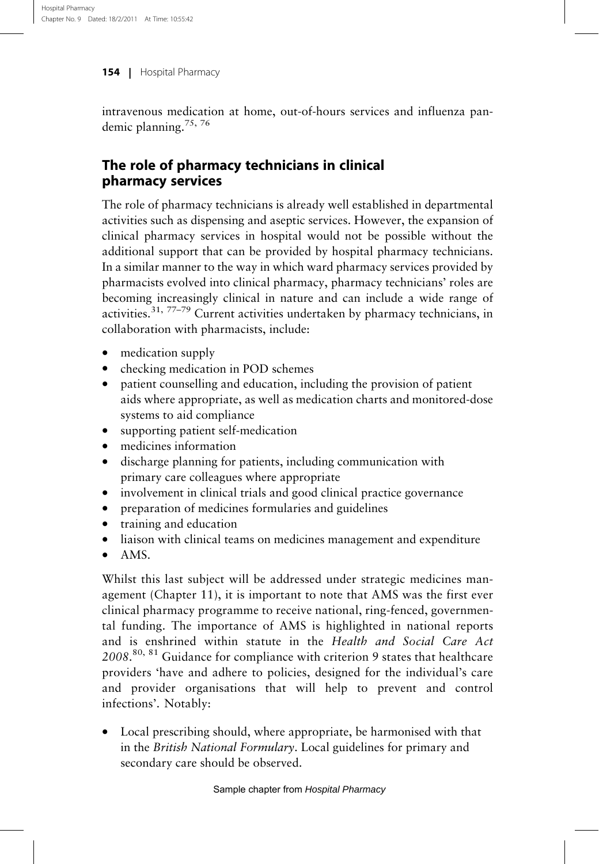intravenous medication at home, out-of-hours services and influenza pan-demic planning.<sup>[75, 76](#page-21-0)</sup>

#### The role of pharmacy technicians in clinical pharmacy services

The role of pharmacy technicians is already well established in departmental activities such as dispensing and aseptic services. However, the expansion of clinical pharmacy services in hospital would not be possible without the additional support that can be provided by hospital pharmacy technicians. In a similar manner to the way in which ward pharmacy services provided by pharmacists evolved into clinical pharmacy, pharmacy technicians' roles are becoming increasingly clinical in nature and can include a wide range of activities.<sup>[31, 77–79](#page-20-0)</sup> Current activities undertaken by pharmacy technicians, in collaboration with pharmacists, include:

- medication supply
- checking medication in POD schemes
- patient counselling and education, including the provision of patient aids where appropriate, as well as medication charts and monitored-dose systems to aid compliance
- supporting patient self-medication
- medicines information
- discharge planning for patients, including communication with primary care colleagues where appropriate
- involvement in clinical trials and good clinical practice governance
- preparation of medicines formularies and guidelines
- training and education
- liaison with clinical teams on medicines management and expenditure
- AMS.

Whilst this last subject will be addressed under strategic medicines management (Chapter 11), it is important to note that AMS was the first ever clinical pharmacy programme to receive national, ring-fenced, governmental funding. The importance of AMS is highlighted in national reports and is enshrined within statute in the Health and Social Care Act 2008.<sup>[80, 81](#page-22-0)</sup> Guidance for compliance with criterion 9 states that healthcare providers 'have and adhere to policies, designed for the individual's care and provider organisations that will help to prevent and control infections'. Notably:

• Local prescribing should, where appropriate, be harmonised with that in the British National Formulary. Local guidelines for primary and secondary care should be observed.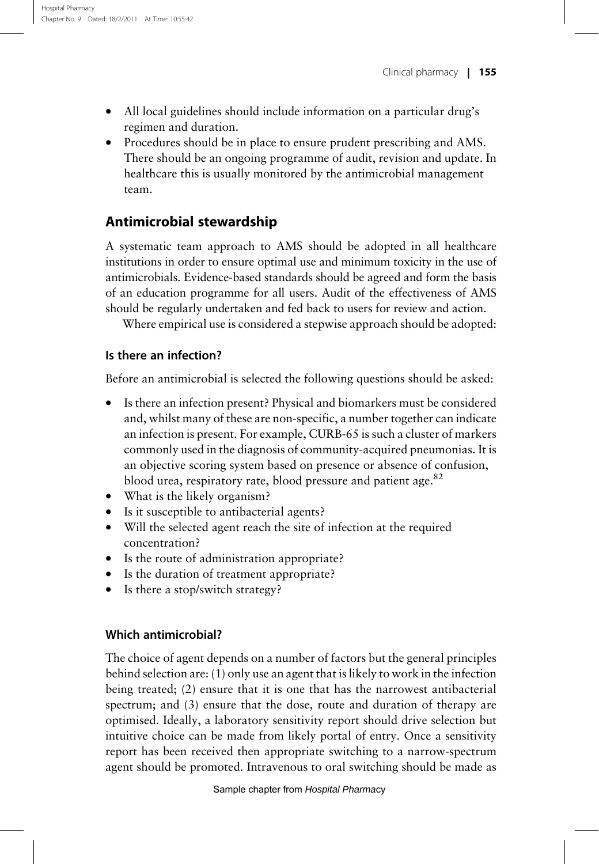- All local guidelines should include information on a particular drug's regimen and duration.
- Procedures should be in place to ensure prudent prescribing and AMS. There should be an ongoing programme of audit, revision and update. In healthcare this is usually monitored by the antimicrobial management team.

#### Antimicrobial stewardship

A systematic team approach to AMS should be adopted in all healthcare institutions in order to ensure optimal use and minimum toxicity in the use of antimicrobials. Evidence-based standards should be agreed and form the basis of an education programme for all users. Audit of the effectiveness of AMS should be regularly undertaken and fed back to users for review and action.

Where empirical use is considered a stepwise approach should be adopted:

#### Is there an infection?

Before an antimicrobial is selected the following questions should be asked:

- Is there an infection present? Physical and biomarkers must be considered and, whilst many of these are non-specific, a number together can indicate an infection is present. For example, CURB-65 is such a cluster of markers commonly used in the diagnosis of community-acquired pneumonias. It is an objective scoring system based on presence or absence of confusion, blood urea, respiratory rate, blood pressure and patient age.<sup>[82](#page-22-0)</sup>
- What is the likely organism?
- Is it susceptible to antibacterial agents?
- Will the selected agent reach the site of infection at the required concentration?
- Is the route of administration appropriate?
- Is the duration of treatment appropriate?
- Is there a stop/switch strategy?

#### Which antimicrobial?

The choice of agent depends on a number of factors but the general principles behind selection are: (1) only use an agent that is likely to work in the infection being treated; (2) ensure that it is one that has the narrowest antibacterial spectrum; and (3) ensure that the dose, route and duration of therapy are optimised. Ideally, a laboratory sensitivity report should drive selection but intuitive choice can be made from likely portal of entry. Once a sensitivity report has been received then appropriate switching to a narrow-spectrum agent should be promoted. Intravenous to oral switching should be made as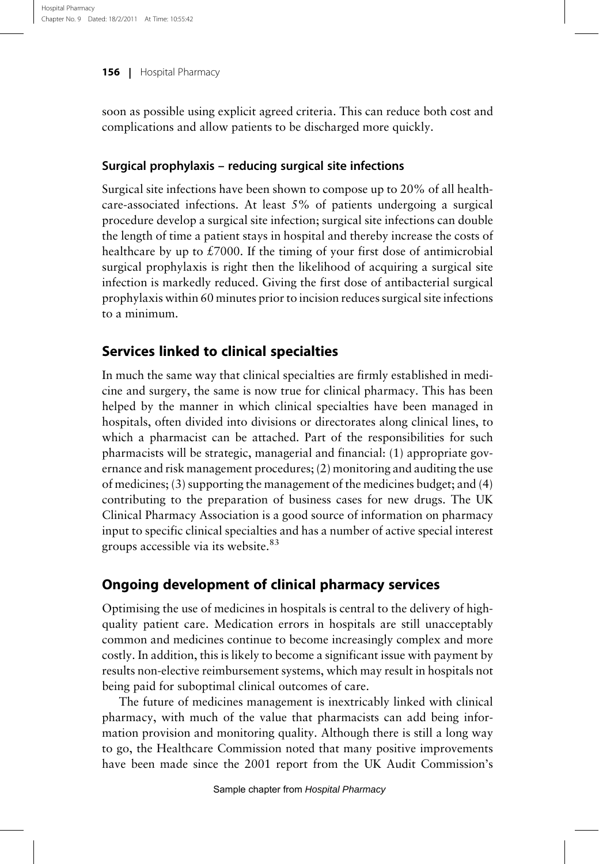soon as possible using explicit agreed criteria. This can reduce both cost and complications and allow patients to be discharged more quickly.

#### Surgical prophylaxis – reducing surgical site infections

Surgical site infections have been shown to compose up to 20% of all healthcare-associated infections. At least 5% of patients undergoing a surgical procedure develop a surgical site infection; surgical site infections can double the length of time a patient stays in hospital and thereby increase the costs of healthcare by up to £7000. If the timing of your first dose of antimicrobial surgical prophylaxis is right then the likelihood of acquiring a surgical site infection is markedly reduced. Giving the first dose of antibacterial surgical prophylaxis within 60 minutes prior to incision reduces surgical site infections to a minimum.

#### Services linked to clinical specialties

In much the same way that clinical specialties are firmly established in medicine and surgery, the same is now true for clinical pharmacy. This has been helped by the manner in which clinical specialties have been managed in hospitals, often divided into divisions or directorates along clinical lines, to which a pharmacist can be attached. Part of the responsibilities for such pharmacists will be strategic, managerial and financial: (1) appropriate governance and risk management procedures; (2) monitoring and auditing the use of medicines; (3) supporting the management of the medicines budget; and (4) contributing to the preparation of business cases for new drugs. The UK Clinical Pharmacy Association is a good source of information on pharmacy input to specific clinical specialties and has a number of active special interest groups accessible via its website. $83$ 

#### Ongoing development of clinical pharmacy services

Optimising the use of medicines in hospitals is central to the delivery of highquality patient care. Medication errors in hospitals are still unacceptably common and medicines continue to become increasingly complex and more costly. In addition, this is likely to become a significant issue with payment by results non-elective reimbursement systems, which may result in hospitals not being paid for suboptimal clinical outcomes of care.

The future of medicines management is inextricably linked with clinical pharmacy, with much of the value that pharmacists can add being information provision and monitoring quality. Although there is still a long way to go, the Healthcare Commission noted that many positive improvements have been made since the 2001 report from the UK Audit Commission's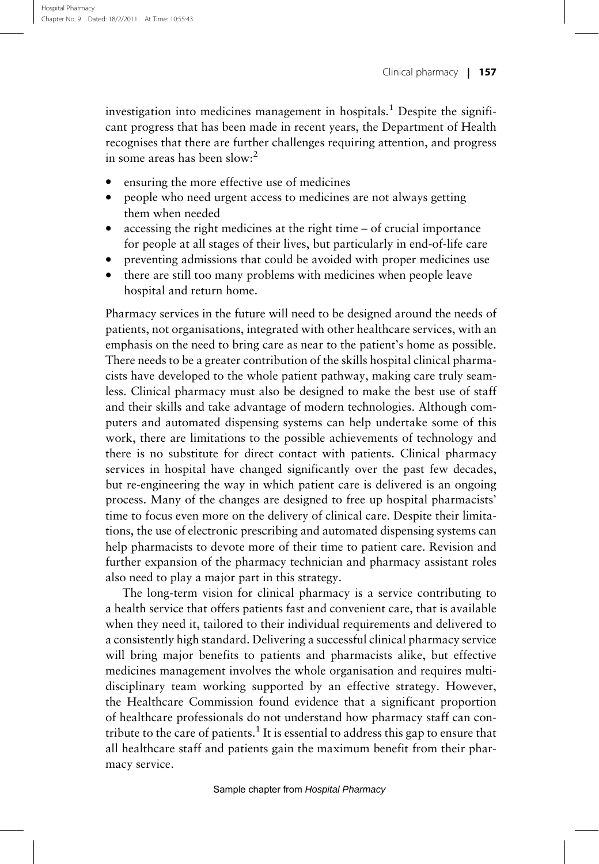investigation into medicines management in hospitals.<sup>[1](#page-19-0)</sup> Despite the significant progress that has been made in recent years, the Department of Health recognises that there are further challenges requiring attention, and progress in some areas has been slow $^{2}$  $^{2}$  $^{2}$ 

- ensuring the more effective use of medicines
- \* people who need urgent access to medicines are not always getting them when needed
- $accessing$  the right medicines at the right time of crucial importance for people at all stages of their lives, but particularly in end-of-life care
- preventing admissions that could be avoided with proper medicines use
- there are still too many problems with medicines when people leave hospital and return home.

Pharmacy services in the future will need to be designed around the needs of patients, not organisations, integrated with other healthcare services, with an emphasis on the need to bring care as near to the patient's home as possible. There needs to be a greater contribution of the skills hospital clinical pharmacists have developed to the whole patient pathway, making care truly seamless. Clinical pharmacy must also be designed to make the best use of staff and their skills and take advantage of modern technologies. Although computers and automated dispensing systems can help undertake some of this work, there are limitations to the possible achievements of technology and there is no substitute for direct contact with patients. Clinical pharmacy services in hospital have changed significantly over the past few decades, but re-engineering the way in which patient care is delivered is an ongoing process. Many of the changes are designed to free up hospital pharmacists' time to focus even more on the delivery of clinical care. Despite their limitations, the use of electronic prescribing and automated dispensing systems can help pharmacists to devote more of their time to patient care. Revision and further expansion of the pharmacy technician and pharmacy assistant roles also need to play a major part in this strategy.

The long-term vision for clinical pharmacy is a service contributing to a health service that offers patients fast and convenient care, that is available when they need it, tailored to their individual requirements and delivered to a consistently high standard. Delivering a successful clinical pharmacy service will bring major benefits to patients and pharmacists alike, but effective medicines management involves the whole organisation and requires multidisciplinary team working supported by an effective strategy. However, the Healthcare Commission found evidence that a significant proportion of healthcare professionals do not understand how pharmacy staff can con-tribute to the care of patients.<sup>[1](#page-19-0)</sup> It is essential to address this gap to ensure that all healthcare staff and patients gain the maximum benefit from their pharmacy service.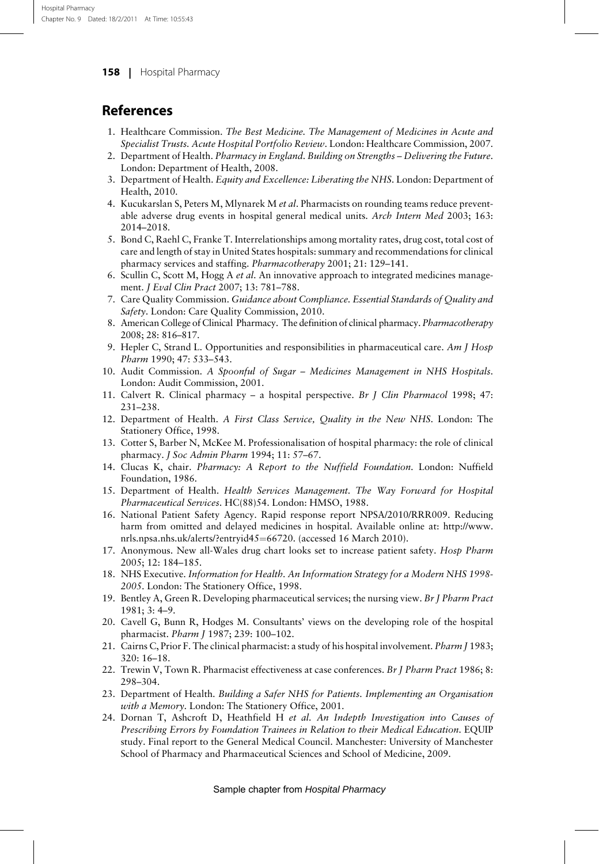#### <span id="page-19-0"></span>References

- 1. Healthcare Commission. The Best Medicine. The Management of Medicines in Acute and Specialist Trusts. Acute Hospital Portfolio Review. London: Healthcare Commission, 2007.
- 2. Department of Health. Pharmacy in England. Building on Strengths Delivering the Future. London: Department of Health, 2008.
- 3. Department of Health. Equity and Excellence: Liberating the NHS. London: Department of Health, 2010.
- 4. Kucukarslan S, Peters M, Mlynarek M *et al.* Pharmacists on rounding teams reduce preventable adverse drug events in hospital general medical units. Arch Intern Med 2003; 163: 2014–2018.
- 5. Bond C, Raehl C, Franke T. Interrelationships among mortality rates, drug cost, total cost of care and length of stay in United States hospitals: summary and recommendations for clinical pharmacy services and staffing. Pharmacotherapy 2001; 21: 129–141.
- 6. Scullin C, Scott M, Hogg A et al. An innovative approach to integrated medicines management. J Eval Clin Pract 2007; 13: 781–788.
- 7. Care Quality Commission. Guidance about Compliance. Essential Standards of Quality and Safety. London: Care Quality Commission, 2010.
- 8. American College of Clinical Pharmacy. The definition of clinical pharmacy. Pharmacotherapy 2008; 28: 816–817.
- 9. Hepler C, Strand L. Opportunities and responsibilities in pharmaceutical care. Am I Hosp Pharm 1990; 47: 533–543.
- 10. Audit Commission. A Spoonful of Sugar Medicines Management in NHS Hospitals. London: Audit Commission, 2001.
- 11. Calvert R. Clinical pharmacy a hospital perspective. Br J Clin Pharmacol 1998; 47: 231–238.
- 12. Department of Health. A First Class Service, Quality in the New NHS. London: The Stationery Office, 1998.
- 13. Cotter S, Barber N, McKee M. Professionalisation of hospital pharmacy: the role of clinical pharmacy. J Soc Admin Pharm 1994; 11: 57–67.
- 14. Clucas K, chair. Pharmacy: A Report to the Nuffield Foundation. London: Nuffield Foundation, 1986.
- 15. Department of Health. Health Services Management. The Way Forward for Hospital Pharmaceutical Services. HC(88)54. London: HMSO, 1988.
- 16. National Patient Safety Agency. Rapid response report NPSA/2010/RRR009. Reducing harm from omitted and delayed medicines in hospital. Available online at: http://www. nrls.npsa.nhs.uk/alerts/?entryid45=66720. (accessed 16 March 2010).
- 17. Anonymous. New all-Wales drug chart looks set to increase patient safety. Hosp Pharm 2005; 12: 184–185.
- 18. NHS Executive. Information for Health. An Information Strategy for a Modern NHS 1998- 2005. London: The Stationery Office, 1998.
- 19. Bentley A, Green R. Developing pharmaceutical services; the nursing view. Br J Pharm Pract 1981; 3: 4–9.
- 20. Cavell G, Bunn R, Hodges M. Consultants' views on the developing role of the hospital pharmacist. Pharm J 1987; 239: 100–102.
- 21. Cairns C, Prior F. The clinical pharmacist: a study of his hospital involvement. Pharm J 1983; 320: 16–18.
- 22. Trewin V, Town R. Pharmacist effectiveness at case conferences. Br J Pharm Pract 1986; 8: 298–304.
- 23. Department of Health. Building a Safer NHS for Patients. Implementing an Organisation with a Memory. London: The Stationery Office, 2001.
- 24. Dornan T, Ashcroft D, Heathfield H et al. An Indepth Investigation into Causes of Prescribing Errors by Foundation Trainees in Relation to their Medical Education. EQUIP study. Final report to the General Medical Council. Manchester: University of Manchester School of Pharmacy and Pharmaceutical Sciences and School of Medicine, 2009.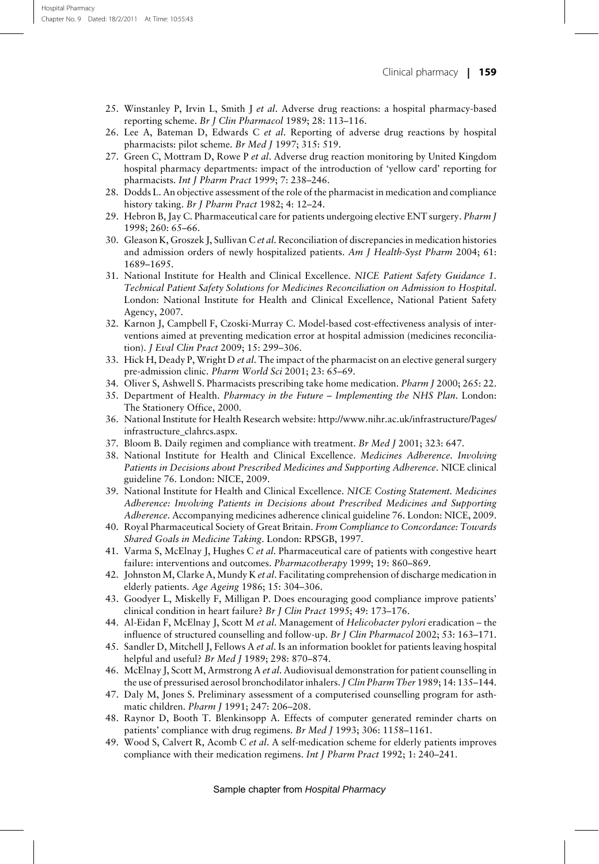- <span id="page-20-0"></span>25. Winstanley P, Irvin L, Smith J et al. Adverse drug reactions: a hospital pharmacy-based reporting scheme. Br J Clin Pharmacol 1989; 28: 113-116.
- 26. Lee A, Bateman D, Edwards C *et al.* Reporting of adverse drug reactions by hospital pharmacists: pilot scheme. Br Med J 1997; 315: 519.
- 27. Green C, Mottram D, Rowe P et al. Adverse drug reaction monitoring by United Kingdom hospital pharmacy departments: impact of the introduction of 'yellow card' reporting for pharmacists. Int J Pharm Pract 1999; 7: 238-246.
- 28. Dodds L. An objective assessment of the role of the pharmacist in medication and compliance history taking. Br J Pharm Pract 1982; 4: 12–24.
- 29. Hebron B, Jay C. Pharmaceutical care for patients undergoing elective ENT surgery. Pharm I 1998; 260: 65–66.
- 30. Gleason K, Groszek J, Sullivan C et al. Reconciliation of discrepancies in medication histories and admission orders of newly hospitalized patients. Am J Health-Syst Pharm 2004; 61: 1689–1695.
- 31. National Institute for Health and Clinical Excellence. NICE Patient Safety Guidance 1. Technical Patient Safety Solutions for Medicines Reconciliation on Admission to Hospital. London: National Institute for Health and Clinical Excellence, National Patient Safety Agency, 2007.
- 32. Karnon J, Campbell F, Czoski-Murray C. Model-based cost-effectiveness analysis of interventions aimed at preventing medication error at hospital admission (medicines reconciliation). J Eval Clin Pract 2009; 15: 299–306.
- 33. Hick H, Deady P, Wright D *et al.* The impact of the pharmacist on an elective general surgery pre-admission clinic. Pharm World Sci 2001; 23: 65–69.
- 34. Oliver S, Ashwell S. Pharmacists prescribing take home medication. Pharm J 2000; 265: 22.
- 35. Department of Health. Pharmacy in the Future Implementing the NHS Plan. London: The Stationery Office, 2000.
- 36. National Institute for Health Research website: http://www.nihr.ac.uk/infrastructure/Pages/ infrastructure\_clahrcs.aspx.
- 37. Bloom B. Daily regimen and compliance with treatment. Br Med J 2001; 323: 647.
- 38. National Institute for Health and Clinical Excellence. Medicines Adherence. Involving Patients in Decisions about Prescribed Medicines and Supporting Adherence. NICE clinical guideline 76. London: NICE, 2009.
- 39. National Institute for Health and Clinical Excellence. NICE Costing Statement. Medicines Adherence: Involving Patients in Decisions about Prescribed Medicines and Supporting Adherence. Accompanying medicines adherence clinical guideline 76. London: NICE, 2009.
- 40. Royal Pharmaceutical Society of Great Britain. From Compliance to Concordance: Towards Shared Goals in Medicine Taking. London: RPSGB, 1997.
- 41. Varma S, McElnay J, Hughes C et al. Pharmaceutical care of patients with congestive heart failure: interventions and outcomes. Pharmacotherapy 1999; 19: 860–869.
- 42. Johnston M, Clarke A, Mundy K et al. Facilitating comprehension of discharge medication in elderly patients. Age Ageing 1986; 15: 304–306.
- 43. Goodyer L, Miskelly F, Milligan P. Does encouraging good compliance improve patients' clinical condition in heart failure? Br J Clin Pract 1995; 49: 173–176.
- 44. Al-Eidan F, McElnay J, Scott M et al. Management of Helicobacter pylori eradication the influence of structured counselling and follow-up. Br J Clin Pharmacol 2002; 53: 163-171.
- 45. Sandler D, Mitchell J, Fellows A et al. Is an information booklet for patients leaving hospital helpful and useful? Br Med J 1989; 298: 870–874.
- 46. McElnay J, Scott M, Armstrong A *et al.* Audiovisual demonstration for patient counselling in the use of pressurised aerosol bronchodilator inhalers. J Clin Pharm Ther 1989; 14: 135-144.
- 47. Daly M, Jones S. Preliminary assessment of a computerised counselling program for asthmatic children. Pharm J 1991; 247: 206-208.
- 48. Raynor D, Booth T. Blenkinsopp A. Effects of computer generated reminder charts on patients' compliance with drug regimens. Br Med J 1993; 306: 1158-1161.
- 49. Wood S, Calvert R, Acomb C et al. A self-medication scheme for elderly patients improves compliance with their medication regimens. Int J Pharm Pract 1992; 1: 240–241.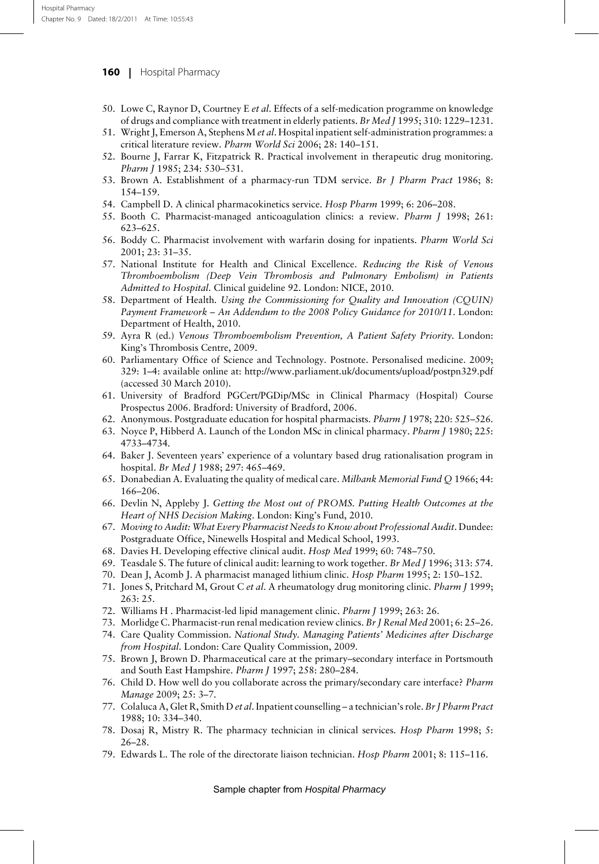- <span id="page-21-0"></span>50. Lowe C, Raynor D, Courtney E et al. Effects of a self-medication programme on knowledge of drugs and compliance with treatment in elderly patients. Br Med J 1995; 310: 1229–1231.
- 51. Wright J, Emerson A, Stephens M et al. Hospital inpatient self-administration programmes: a critical literature review. Pharm World Sci 2006; 28: 140–151.
- 52. Bourne J, Farrar K, Fitzpatrick R. Practical involvement in therapeutic drug monitoring. Pharm J 1985; 234: 530–531.
- 53. Brown A. Establishment of a pharmacy-run TDM service. Br J Pharm Pract 1986; 8: 154–159.
- 54. Campbell D. A clinical pharmacokinetics service. Hosp Pharm 1999; 6: 206–208.
- 55. Booth C. Pharmacist-managed anticoagulation clinics: a review. Pharm J 1998; 261: 623–625.
- 56. Boddy C. Pharmacist involvement with warfarin dosing for inpatients. Pharm World Sci 2001; 23: 31–35.
- 57. National Institute for Health and Clinical Excellence. Reducing the Risk of Venous Thromboembolism (Deep Vein Thrombosis and Pulmonary Embolism) in Patients Admitted to Hospital. Clinical guideline 92. London: NICE, 2010.
- 58. Department of Health. Using the Commissioning for Quality and Innovation (CQUIN) Payment Framework – An Addendum to the 2008 Policy Guidance for 2010/11. London: Department of Health, 2010.
- 59. Ayra R (ed.) Venous Thromboembolism Prevention, A Patient Safety Priority. London: King's Thrombosis Centre, 2009.
- 60. Parliamentary Office of Science and Technology. Postnote. Personalised medicine. 2009; 329: 1–4: available online at: http://www.parliament.uk/documents/upload/postpn329.pdf (accessed 30 March 2010).
- 61. University of Bradford PGCert/PGDip/MSc in Clinical Pharmacy (Hospital) Course Prospectus 2006. Bradford: University of Bradford, 2006.
- 62. Anonymous. Postgraduate education for hospital pharmacists. Pharm J 1978; 220: 525–526.
- 63. Noyce P, Hibberd A. Launch of the London MSc in clinical pharmacy. Pharm J 1980; 225: 4733–4734.
- 64. Baker J. Seventeen years' experience of a voluntary based drug rationalisation program in hospital. Br Med J 1988; 297: 465–469.
- 65. Donabedian A. Evaluating the quality of medical care. Milbank Memorial Fund Q 1966; 44: 166–206.
- 66. Devlin N, Appleby J. Getting the Most out of PROMS. Putting Health Outcomes at the Heart of NHS Decision Making. London: King's Fund, 2010.
- 67. Moving to Audit: What Every Pharmacist Needs to Know about Professional Audit. Dundee: Postgraduate Office, Ninewells Hospital and Medical School, 1993.
- 68. Davies H. Developing effective clinical audit. Hosp Med 1999; 60: 748–750.
- 69. Teasdale S. The future of clinical audit: learning to work together. Br Med J 1996; 313: 574.
- 70. Dean J, Acomb J. A pharmacist managed lithium clinic. Hosp Pharm 1995; 2: 150–152.
- 71. Jones S, Pritchard M, Grout C et al. A rheumatology drug monitoring clinic. Pharm J 1999; 263: 25.
- 72. Williams H . Pharmacist-led lipid management clinic. Pharm J 1999; 263: 26.
- 73. Morlidge C. Pharmacist-run renal medication review clinics. Br J Renal Med 2001; 6: 25–26.
- 74. Care Quality Commission. National Study. Managing Patients' Medicines after Discharge from Hospital. London: Care Quality Commission, 2009.
- 75. Brown J, Brown D. Pharmaceutical care at the primary–secondary interface in Portsmouth and South East Hampshire. Pharm J 1997; 258: 280–284.
- 76. Child D. How well do you collaborate across the primary/secondary care interface? Pharm Manage 2009; 25: 3–7.
- 77. Colaluca A, Glet R, Smith D et al. Inpatient counselling a technician's role. Br J Pharm Pract 1988; 10: 334–340.
- 78. Dosaj R, Mistry R. The pharmacy technician in clinical services. Hosp Pharm 1998; 5: 26–28.
- 79. Edwards L. The role of the directorate liaison technician. Hosp Pharm 2001; 8: 115–116.